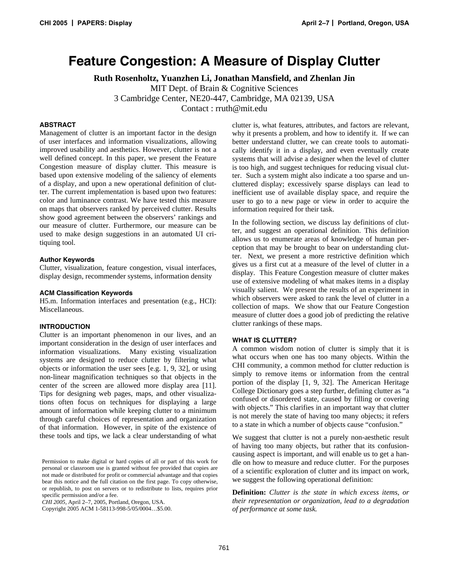# **Feature Congestion: A Measure of Display Clutter**

**Ruth Rosenholtz, Yuanzhen Li, Jonathan Mansfield, and Zhenlan Jin** 

MIT Dept. of Brain & Cognitive Sciences 3 Cambridge Center, NE20-447, Cambridge, MA 02139, USA Contact : rruth@mit.edu

# **ABSTRACT**

Management of clutter is an important factor in the design of user interfaces and information visualizations, allowing improved usability and aesthetics. However, clutter is not a well defined concept. In this paper, we present the Feature Congestion measure of display clutter. This measure is based upon extensive modeling of the saliency of elements of a display, and upon a new operational definition of clutter. The current implementation is based upon two features: color and luminance contrast. We have tested this measure on maps that observers ranked by perceived clutter. Results show good agreement between the observers' rankings and our measure of clutter. Furthermore, our measure can be used to make design suggestions in an automated UI critiquing tool.

#### **Author Keywords**

Clutter, visualization, feature congestion, visual interfaces, display design, recommender systems, information density

# **ACM Classification Keywords**

H5.m. Information interfaces and presentation (e.g., HCI): Miscellaneous.

#### **INTRODUCTION**

Clutter is an important phenomenon in our lives, and an important consideration in the design of user interfaces and information visualizations. Many existing visualization systems are designed to reduce clutter by filtering what objects or information the user sees [e.g. 1, 9, 32], or using non-linear magnification techniques so that objects in the center of the screen are allowed more display area [11]. Tips for designing web pages, maps, and other visualizations often focus on techniques for displaying a large amount of information while keeping clutter to a minimum through careful choices of representation and organization of that information. However, in spite of the existence of these tools and tips, we lack a clear understanding of what

*CHI 2005*, April 2–7, 2005, Portland, Oregon, USA.

Copyright 2005 ACM 1-58113-998-5/05/0004…\$5.00.

clutter is, what features, attributes, and factors are relevant, why it presents a problem, and how to identify it. If we can better understand clutter, we can create tools to automatically identify it in a display, and even eventually create systems that will advise a designer when the level of clutter is too high, and suggest techniques for reducing visual clutter. Such a system might also indicate a too sparse and uncluttered display; excessively sparse displays can lead to inefficient use of available display space, and require the user to go to a new page or view in order to acquire the information required for their task.

In the following section, we discuss lay definitions of clutter, and suggest an operational definition. This definition allows us to enumerate areas of knowledge of human perception that may be brought to bear on understanding clutter. Next, we present a more restrictive definition which gives us a first cut at a measure of the level of clutter in a display. This Feature Congestion measure of clutter makes use of extensive modeling of what makes items in a display visually salient. We present the results of an experiment in which observers were asked to rank the level of clutter in a collection of maps. We show that our Feature Congestion measure of clutter does a good job of predicting the relative clutter rankings of these maps.

#### **WHAT IS CLUTTER?**

A common wisdom notion of clutter is simply that it is what occurs when one has too many objects. Within the CHI community, a common method for clutter reduction is simply to remove items or information from the central portion of the display [1, 9, 32]. The American Heritage College Dictionary goes a step further, defining clutter as "a confused or disordered state, caused by filling or covering with objects." This clarifies in an important way that clutter is not merely the state of having too many objects; it refers to a state in which a number of objects cause "confusion."

We suggest that clutter is not a purely non-aesthetic result of having too many objects, but rather that its confusioncausing aspect is important, and will enable us to get a handle on how to measure and reduce clutter. For the purposes of a scientific exploration of clutter and its impact on work, we suggest the following operational definition:

**Definition:** *Clutter is the state in which excess items, or their representation or organization, lead to a degradation of performance at some task.*

Permission to make digital or hard copies of all or part of this work for personal or classroom use is granted without fee provided that copies are not made or distributed for profit or commercial advantage and that copies bear this notice and the full citation on the first page. To copy otherwise, or republish, to post on servers or to redistribute to lists, requires prior specific permission and/or a fee.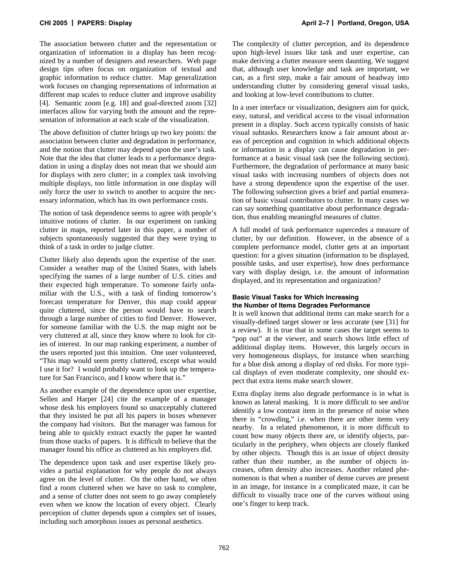The association between clutter and the representation or organization of information in a display has been recognized by a number of designers and researchers. Web page design tips often focus on organization of textual and graphic information to reduce clutter. Map generalization work focuses on changing representations of information at different map scales to reduce clutter and improve usability [4]. Semantic zoom [e.g. 18] and goal-directed zoom [32] interfaces allow for varying both the amount and the representation of information at each scale of the visualization.

The above definition of clutter brings up two key points: the association between clutter and degradation in performance, and the notion that clutter may depend upon the user's task. Note that the idea that clutter leads to a performance degradation in using a display does not mean that we should aim for displays with zero clutter; in a complex task involving multiple displays, too little information in one display will only force the user to switch to another to acquire the necessary information, which has its own performance costs.

The notion of task dependence seems to agree with people's intuitive notions of clutter. In our experiment on ranking clutter in maps, reported later in this paper, a number of subjects spontaneously suggested that they were trying to think of a task in order to judge clutter.

Clutter likely also depends upon the expertise of the user. Consider a weather map of the United States, with labels specifying the names of a large number of U.S. cities and their expected high temperature. To someone fairly unfamiliar with the U.S., with a task of finding tomorrow's forecast temperature for Denver, this map could appear quite cluttered, since the person would have to search through a large number of cities to find Denver. However, for someone familiar with the U.S. the map might not be very cluttered at all, since they know where to look for cities of interest. In our map ranking experiment, a number of the users reported just this intuition. One user volunteered, "This map would seem pretty cluttered, except what would I use it for? I would probably want to look up the temperature for San Francisco, and I know where that is."

As another example of the dependence upon user expertise, Sellen and Harper [24] cite the example of a manager whose desk his employers found so unacceptably cluttered that they insisted he put all his papers in boxes whenever the company had visitors. But the manager was famous for being able to quickly extract exactly the paper he wanted from those stacks of papers. It is difficult to believe that the manager found his office as cluttered as his employers did.

The dependence upon task and user expertise likely provides a partial explanation for why people do not always agree on the level of clutter. On the other hand, we often find a room cluttered when we have no task to complete, and a sense of clutter does not seem to go away completely even when we know the location of every object. Clearly perception of clutter depends upon a complex set of issues, including such amorphous issues as personal aesthetics.

The complexity of clutter perception, and its dependence upon high-level issues like task and user expertise, can make deriving a clutter measure seem daunting. We suggest that, although user knowledge and task are important, we can, as a first step, make a fair amount of headway into understanding clutter by considering general visual tasks, and looking at low-level contributions to clutter.

In a user interface or visualization, designers aim for quick, easy, natural, and veridical access to the visual information present in a display. Such access typically consists of basic visual subtasks. Researchers know a fair amount about areas of perception and cognition in which additional objects or information in a display can cause degradation in performance at a basic visual task (see the following section). Furthermore, the degradation of performance at many basic visual tasks with increasing numbers of objects does not have a strong dependence upon the expertise of the user. The following subsection gives a brief and partial enumeration of basic visual contributors to clutter. In many cases we can say something quantitative about performance degradation, thus enabling meaningful measures of clutter.

A full model of task performance supercedes a measure of clutter, by our definition. However, in the absence of a complete performance model, clutter gets at an important question: for a given situation (information to be displayed, possible tasks, and user expertise), how does performance vary with display design, i.e. the amount of information displayed, and its representation and organization?

## **Basic Visual Tasks for Which Increasing the Number of Items Degrades Performance**

It is well known that additional items can make search for a visually-defined target slower or less accurate (see [31] for a review). It is true that in some cases the target seems to "pop out" at the viewer, and search shows little effect of additional display items. However, this largely occurs in very homogeneous displays, for instance when searching for a blue disk among a display of red disks. For more typical displays of even moderate complexity, one should expect that extra items make search slower.

Extra display items also degrade performance is in what is known as lateral masking. It is more difficult to see and/or identify a low contrast item in the presence of noise when there is "crowding," i.e. when there are other items very nearby. In a related phenomenon, it is more difficult to count how many objects there are, or identify objects, particularly in the periphery, when objects are closely flanked by other objects. Though this is an issue of object density rather than their number, as the number of objects increases, often density also increases. Another related phenomenon is that when a number of dense curves are present in an image, for instance in a complicated maze, it can be difficult to visually trace one of the curves without using one's finger to keep track.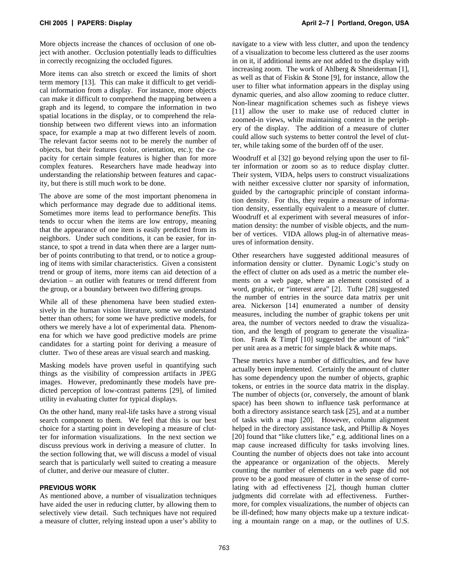More objects increase the chances of occlusion of one object with another. Occlusion potentially leads to difficulties in correctly recognizing the occluded figures.

More items can also stretch or exceed the limits of short term memory [13]. This can make it difficult to get veridical information from a display. For instance, more objects can make it difficult to comprehend the mapping between a graph and its legend, to compare the information in two spatial locations in the display, or to comprehend the relationship between two different views into an information space, for example a map at two different levels of zoom. The relevant factor seems not to be merely the number of objects, but their features (color, orientation, etc.); the capacity for certain simple features is higher than for more complex features. Researchers have made headway into understanding the relationship between features and capacity, but there is still much work to be done.

The above are some of the most important phenomena in which performance may degrade due to additional items. Sometimes more items lead to performance *benefits*. This tends to occur when the items are low entropy, meaning that the appearance of one item is easily predicted from its neighbors. Under such conditions, it can be easier, for instance, to spot a trend in data when there are a larger number of points contributing to that trend, or to notice a grouping of items with similar characteristics. Given a consistent trend or group of items, more items can aid detection of a deviation – an outlier with features or trend different from the group, or a boundary between two differing groups.

While all of these phenomena have been studied extensively in the human vision literature, some we understand better than others; for some we have predictive models, for others we merely have a lot of experimental data. Phenomena for which we have good predictive models are prime candidates for a starting point for deriving a measure of clutter. Two of these areas are visual search and masking.

Masking models have proven useful in quantifying such things as the visibility of compression artifacts in JPEG images. However, predominantly these models have predicted perception of low-contrast patterns [29], of limited utility in evaluating clutter for typical displays.

On the other hand, many real-life tasks have a strong visual search component to them. We feel that this is our best choice for a starting point in developing a measure of clutter for information visualizations. In the next section we discuss previous work in deriving a measure of clutter. In the section following that, we will discuss a model of visual search that is particularly well suited to creating a measure of clutter, and derive our measure of clutter.

## **PREVIOUS WORK**

As mentioned above, a number of visualization techniques have aided the user in reducing clutter, by allowing them to selectively view detail. Such techniques have not required a measure of clutter, relying instead upon a user's ability to navigate to a view with less clutter, and upon the tendency of a visualization to become less cluttered as the user zooms in on it, if additional items are not added to the display with increasing zoom. The work of Ahlberg  $&$  Shneiderman [1], as well as that of Fiskin  $&$  Stone [9], for instance, allow the user to filter what information appears in the display using dynamic queries, and also allow zooming to reduce clutter. Non-linear magnification schemes such as fisheye views [11] allow the user to make use of reduced clutter in zoomed-in views, while maintaining context in the periphery of the display. The addition of a measure of clutter could allow such systems to better control the level of clutter, while taking some of the burden off of the user.

Woodruff et al [32] go beyond relying upon the user to filter information or zoom so as to reduce display clutter. Their system, VIDA, helps users to construct visualizations with neither excessive clutter nor sparsity of information, guided by the cartographic principle of constant information density. For this, they require a measure of information density, essentially equivalent to a measure of clutter. Woodruff et al experiment with several measures of information density: the number of visible objects, and the number of vertices. VIDA allows plug-in of alternative measures of information density.

Other researchers have suggested additional measures of information density or clutter. Dynamic Logic's study on the effect of clutter on ads used as a metric the number elements on a web page, where an element consisted of a word, graphic, or "interest area" [2]. Tufte [28] suggested the number of entries in the source data matrix per unit area. Nickerson [ 14] enumerated a number of density measures, including the number of graphic tokens per unit area, the number of vectors needed to draw the visualization, and the length of program to generate the visualization. Frank & Timpf [10] suggested the amount of "ink" per unit area as a metric for simple black & white maps.

These metrics have a number of difficulties, and few have actually been implemented. Certainly the amount of clutter has some dependency upon the number of objects, graphic tokens, or entries in the source data matrix in the display. The number of objects (or, conversely, the amount of blank space) has been shown to influence task performance at both a directory assistance search task [ 25], and at a number of tasks with a map [20]. However, column alignment helped in the directory assistance task, and Phillip & Noyes [ 20] found that "like clutters like," e.g. additional lines on a map cause increased difficulty for tasks involving lines. Counting the number of objects does not take into account the appearance or organization of the objects. Merely counting the number of elements on a web page did not prove to be a good measure of clutter in the sense of correlating with ad effectiveness [2], though human clutter judgments did correlate with ad effectiveness. Furthermore, for complex visualizations, the number of objects can be ill-defined; how many objects make up a texture indicating a mountain range on a map, or the outlines of U.S.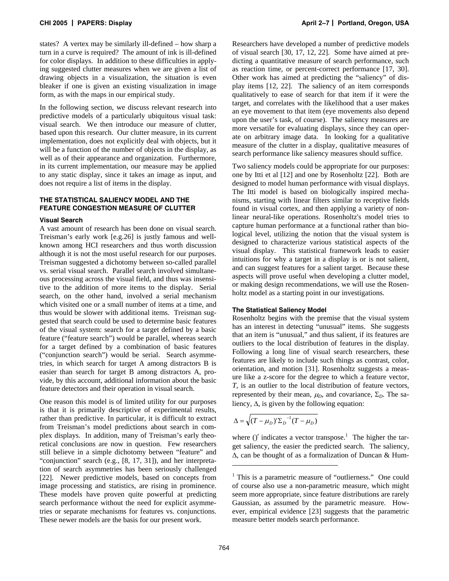states? A vertex may be similarly ill-defined – how sharp a turn in a curve is required? The amount of ink is ill-defined for color displays. In addition to these difficulties in applying suggested clutter measures when we are given a list of drawing objects in a visualization, the situation is even bleaker if one is given an existing visualization in image form, as with the maps in our empirical study.

In the following section, we discuss relevant research into predictive models of a particularly ubiquitous visual task: visual search. We then introduce our measure of clutter, based upon this research. Our clutter measure, in its current implementation, does not explicitly deal with objects, but it will be a function of the number of objects in the display, as well as of their appearance and organization. Furthermore, in its current implementation, our measure may be applied to any static display, since it takes an image as input, and does not require a list of items in the display.

## **THE STATISTICAL SALIENCY MODEL AND THE FEATURE CONGESTION MEASURE OF CLUTTER**

#### **Visual Search**

A vast amount of research has been done on visual search. Treisman's early work [e.g. 26] is justly famous and wellknown among HCI researchers and thus worth discussion although it is not the most useful research for our purposes. Treisman suggested a dichotomy between so-called parallel vs. serial visual search. Parallel search involved simultaneous processing across the visual field, and thus was insensitive to the addition of more items to the display. Serial search, on the other hand, involved a serial mechanism which visited one or a small number of items at a time, and thus would be slower with additional items. Treisman suggested that search could be used to determine basic features of the visual system: search for a target defined by a basic feature ("feature search") would be parallel, whereas search for a target defined by a combination of basic features ("conjunction search") would be serial. Search asymmetries, in which search for target A among distractors B is easier than search for target B among distractors A, provide, by this account, additional information about the basic feature detectors and their operation in visual search.

One reason this model is of limited utility for our purposes is that it is primarily descriptive of experimental results, rather than predictive. In particular, it is difficult to extract from Treisman's model predictions about search in complex displays. In addition, many of Treisman's early theoretical conclusions are now in question. Few researchers still believe in a simple dichotomy between "feature" and "conjunction" search  $(e.g., [8, 17, 31])$ , and her interpretation of search asymmetries has been seriously challenged [22]. Newer predictive models, based on concepts from image processing and statistics, are rising in prominence. These models have proven quite powerful at predicting search performance without the need for explicit asymmetries or separate mechanisms for features vs. conjunctions. These newer models are the basis for our present work.

Researchers have developed a number of predictive models of visual search [30, 17, 12, 22]. Some have aimed at predicting a quantitative measure of search performance, such as reaction time, or percent-correct performance [17, 30]. Other work has aimed at predicting the "saliency" of display items [ 12, 22]. The saliency of an item corresponds qualitatively to ease of search for that item if it were the target, and correlates with the likelihood that a user makes an eye movement to that item (eye movements also depend upon the user's task, of course). The saliency measures are more versatile for evaluating displays, since they can operate on arbitrary image data. In looking for a qualitative measure of the clutter in a display, qualitative measures of search performance like saliency measures should suffice.

Two saliency models could be appropriate for our purposes: one by Itti et al [ 12] and one by Rosenholtz [ 22]. Both are designed to model human performance with visual displays. The Itti model is based on biologically inspired mechanisms, starting with linear filters similar to receptive fields found in visual cortex, and then applying a variety of nonlinear neural-like operations. Rosenholtz's model tries to capture human performance at a functional rather than biological level, utilizing the notion that the visual system is designed to characterize various statistical aspects of the visual display. This statistical framework leads to easier intuitions for why a target in a display is or is not salient, and can suggest features for a salient target. Because these aspects will prove useful when developing a clutter model, or making design recommendations, we will use the Rosenholtz model as a starting point in our investigations.

## **The Statistical Saliency Model**

Rosenholtz begins with the premise that the visual system has an interest in detecting "unusual" items. She suggests that an item is "unusual," and thus salient, if its features are outliers to the local distribution of features in the display. Following a long line of visual search researchers, these features are likely to include such things as contrast, color, orientation, and motion [ 31]. Rosenholtz suggests a measure like a z-score for the degree to which a feature vector, *T*, is an outlier to the local distribution of feature vectors, represented by their mean,  $\mu_D$ , and covariance,  $\Sigma_D$ . The saliency,  $\Delta$ , is given by the following equation:

$$
\Delta = \sqrt{(T - \mu_D)^2 \Sigma_D^{-1} (T - \mu_D)}
$$

where ()' indicates a vector transpose.<sup>1</sup> The higher the target saliency, the easier the predicted search. The saliency, ∆, can be thought of as a formalization of Duncan & Hum-

l

<sup>&</sup>lt;sup>1</sup> This is a parametric measure of "outlierness." One could of course also use a non-parametric measure, which might seem more appropriate, since feature distributions are rarely Gaussian, as assumed by the parametric measure. However, empirical evidence [23] suggests that the parametric measure better models search performance.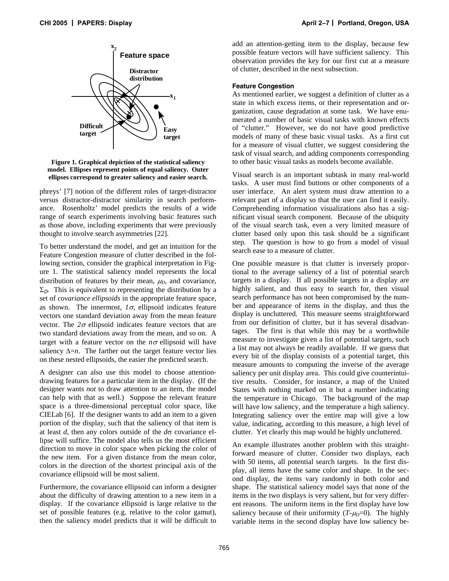

**Figure 1. Graphical depiction of the statistical saliency model. Ellipses represent points of equal saliency. Outer ellipses correspond to greater saliency and easier search.** 

phreys' [ 7] notion of the different roles of target-distractor versus distractor-distractor similarity in search performance. Rosenholtz' model predicts the results of a wide range of search experiments involving basic features such as those above, including experiments that were previously thought to involve search asymmetries [ 22].

To better understand the model, and get an intuition for the Feature Congestion measure of clutter described in the following section, consider the graphical interpretation in Figure 1. The statistical saliency model represents the local distribution of features by their mean,  $\mu_D$ , and covariance,  $\Sigma_D$ . This is equivalent to representing the distribution by a set of *covariance ellipsoids* in the appropriate feature space, as shown. The innermost,  $1\sigma$ , ellipsoid indicates feature vectors one standard deviation away from the mean feature vector. The  $2\sigma$  ellipsoid indicates feature vectors that are two standard deviations away from the mean, and so on. A target with a feature vector on the *n*σ ellipsoid will have saliency  $\Delta$ =*n*. The farther out the target feature vector lies on these nested ellipsoids, the easier the predicted search.

A designer can also use this model to choose attentiondrawing features for a particular item in the display. (If the designer wants *not* to draw attention to an item, the model can help with that as well.) Suppose the relevant feature space is a three-dimensional perceptual color space, like CIELab [6]. If the designer wants to add an item to a given portion of the display, such that the saliency of that item is at least *d*, then any colors outside of the *d*σ covariance ellipse will suffice. The model also tells us the most efficient direction to move in color space when picking the color of the new item. For a given distance from the mean color, colors in the direction of the shortest principal axis of the covariance ellipsoid will be most salient.

Furthermore, the covariance ellipsoid can inform a designer about the difficulty of drawing attention to a new item in a display. If the covariance ellipsoid is large relative to the set of possible features (e.g. relative to the color gamut), then the saliency model predicts that it will be difficult to add an attention-getting item to the display, because few possible feature vectors will have sufficient saliency. This observation provides the key for our first cut at a measure of clutter, described in the next subsection.

## **Feature Congestion**

As mentioned earlier, we suggest a definition of clutter as a state in which excess items, or their representation and organization, cause degradation at some task. We have enumerated a number of basic visual tasks with known effects of "clutter." However, we do not have good predictive models of many of these basic visual tasks. As a first cut for a measure of visual clutter, we suggest considering the task of visual search, and adding components corresponding to other basic visual tasks as models become available.

Visual search is an important subtask in many real-world tasks. A user must find buttons or other components of a user interface. An alert system must draw attention to a relevant part of a display so that the user can find it easily. Comprehending information visualizations also has a significant visual search component. Because of the ubiquity of the visual search task, even a very limited measure of clutter based only upon this task should be a significant step. The question is how to go from a model of visual search ease to a measure of clutter.

One possible measure is that clutter is inversely proportional to the average saliency of a list of potential search targets in a display. If all possible targets in a display are highly salient, and thus easy to search for, then visual search performance has not been compromised by the number and appearance of items in the display, and thus the display is uncluttered. This measure seems straightforward from our definition of clutter, but it has several disadvantages. The first is that while this may be a worthwhile measure to investigate given a list of potential targets, such a list may not always be readily available. If we guess that every bit of the display consists of a potential target, this measure amounts to computing the inverse of the average saliency per unit display area. This could give counterintuitive results. Consider, for instance, a map of the United States with nothing marked on it but a number indicating the temperature in Chicago. The background of the map will have low saliency, and the temperature a high saliency. Integrating saliency over the entire map will give a low value, indicating, according to this measure, a high level of clutter. Yet clearly this map would be highly uncluttered.

An example illustrates another problem with this straightforward measure of clutter. Consider two displays, each with 50 items, all potential search targets. In the first display, all items have the same color and shape. In the second display, the items vary randomly in both color and shape. The statistical saliency model says that none of the items in the two displays is very salient, but for very different reasons. The uniform items in the first display have low saliency because of their uniformity  $(T-\mu_D=0)$ . The highly variable items in the second display have low saliency be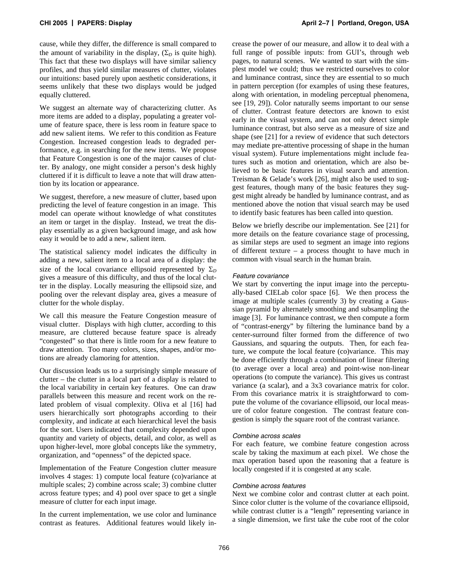cause, while they differ, the difference is small compared to the amount of variability in the display,  $(\Sigma_D)$  is quite high). This fact that these two displays will have similar saliency profiles, and thus yield similar measures of clutter, violates our intuitions: based purely upon aesthetic considerations, it seems unlikely that these two displays would be judged equally cluttered.

We suggest an alternate way of characterizing clutter. As more items are added to a display, populating a greater volume of feature space, there is less room in feature space to and or reature space, there is less foom in reature space to add new salient items. We refer to this condition as Feature Congestion. Increased congestion leads to degraded performance, e.g. in searching for the new items. We propose that Feature Congestion is one of the major causes of clutter. By analogy, one might consider a person's desk highly cluttered if it is difficult to leave a note that will draw attention by its location or appearance.

We suggest, therefore, a new measure of clutter, based upon predicting the level of feature congestion in an image. This model can operate without knowledge of what constitutes an item or target in the display. Instead, we treat the display essentially as a given background image, and ask how easy it would be to add a new, salient item.

The statistical saliency model indicates the difficulty in adding a new, salient item to a local area of a display: the size of the local covariance ellipsoid represented by  $\Sigma_D$ gives a measure of this difficulty, and thus of the local clutter in the display. Locally measuring the ellipsoid size, and pooling over the relevant display area, gives a measure of clutter for the whole display.

We call this measure the Feature Congestion measure of visual clutter. Displays with high clutter, according to this measure, are cluttered because feature space is already "congested" so that there is little room for a new feature to draw attention. Too many colors, sizes, shapes, and/or motions are already clamoring for attention.

Our discussion leads us to a surprisingly simple measure of clutter – the clutter in a local part of a display is related to the local variability in certain key features. One can draw parallels between this measure and recent work on the related problem of visual complexity. Oliva et al [16] had users hierarchically sort photographs according to their complexity, and indicate at each hierarchical level the basis for the sort. Users indicated that complexity depended upon quantity and variety of objects, detail, and color, as well as upon higher-level, more global concepts like the symmetry, organization, and "openness" of the depicted space.

Implementation of the Feature Congestion clutter measure involves 4 stages: 1) compute local feature (co)variance at multiple scales; 2) combine across scale; 3) combine clutter across feature types; and 4) pool over space to get a single measure of clutter for each input image.

In the current implementation, we use color and luminance contrast as features. Additional features would likely increase the power of our measure, and allow it to deal with a full range of possible inputs: from GUI's, through web pages, to natural scenes. We wanted to start with the simplest model we could; thus we restricted ourselves to color and luminance contrast, since they are essential to so much in pattern perception (for examples of using these features, along with orientation, in modeling perceptual phenomena, see [19, 29]). Color naturally seems important to our sense of clutter. Contrast feature detectors are known to exist early in the visual system, and can not only detect simple luminance contrast, but also serve as a measure of size and shape (see [21] for a review of evidence that such detectors may mediate pre-attentive processing of shape in the human visual system). Future implementations might include features such as motion and orientation, which are also believed to be basic features in visual search and attention. Treisman & Gelade's work [26], might also be used to suggest features, though many of the basic features they suggest might already be handled by luminance contrast, and as mentioned above the notion that visual search may be used to identify basic features has been called into question.

Below we briefly describe our implementation. See [21] for more details on the feature covariance stage of processing, as similar steps are used to segment an image into regions of different texture – a process thought to have much in common with visual search in the human brain.

## *Feature covariance*

We start by converting the input image into the perceptually-based CIELab color space [6]. We then process the image at multiple scales (currently 3) by creating a Gaussian pyramid by alternately smoothing and subsampling the image [3]. For luminance contrast, we then compute a form of "contrast-energy" by filtering the luminance band by a center-surround filter formed from the difference of two Gaussians, and squaring the outputs. Then, for each feature, we compute the local feature (co)variance. This may be done efficiently through a combination of linear filtering (to average over a local area) and point-wise non-linear operations (to compute the variance). This gives us contrast variance (a scalar), and a 3x3 covariance matrix for color. From this covariance matrix it is straightforward to compute the volume of the covariance ellipsoid, our local measure of color feature congestion. The contrast feature congestion is simply the square root of the contrast variance.

## *Combine across scales*

For each feature, we combine feature congestion across scale by taking the maximum at each pixel. We chose the max operation based upon the reasoning that a feature is locally congested if it is congested at any scale.

## *Combine across features*

Next we combine color and contrast clutter at each point. Since color clutter is the volume of the covariance ellipsoid, while contrast clutter is a "length" representing variance in a single dimension, we first take the cube root of the color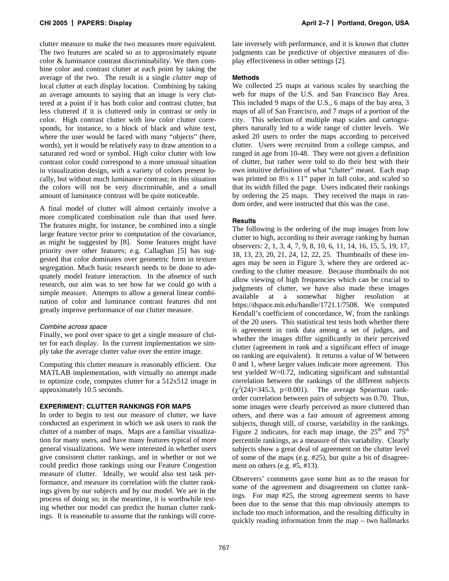clutter measure to make the two measures more equivalent. The two features are scaled so as to approximately equate color & luminance contrast discriminability. We then combine color and contrast clutter at each point by taking the average of the two. The result is a single *clutter map* of local clutter at each display location. Combining by taking an average amounts to saying that an image is very cluttered at a point if it has both color and contrast clutter, but less cluttered if it is cluttered only in contrast or only in color. High contrast clutter with low color clutter corresponds, for instance, to a block of black and white text, where the user would be faced with many "objects" (here, words), yet it would be relatively easy to draw attention to a saturated red word or symbol. High color clutter with low contrast color could correspond to a more unusual situation in visualization design, with a variety of colors present locally, but without much luminance contrast; in this situation the colors will not be very discriminable, and a small amount of luminance contrast will be quite noticeable.

A final model of clutter will almost certainly involve a more complicated combination rule than that used here. The features might, for instance, be combined into a single large feature vector prior to computation of the covariance, as might be suggested by [8]. Some features might have priority over other features; e.g. Callaghan [5] has suggested that color dominates over geometric form in texture segregation. Much basic research needs to be done to adequately model feature interaction. In the absence of such research, our aim was to see how far we could go with a simple measure. Attempts to allow a general linear combination of color and luminance contrast features did not greatly improve performance of our clutter measure.

#### *Combine across space*

Finally, we pool over space to get a single measure of clutter for each display. In the current implementation we simply take the average clutter value over the entire image.

Computing this clutter measure is reasonably efficient. Our MATLAB implementation, with virtually no attempt made to optimize code, computes clutter for a 512x512 image in approximately 10.5 seconds.

#### **EXPERIMENT: CLUTTER RANKINGS FOR MAPS**

In order to begin to test our measure of clutter, we have conducted an experiment in which we ask users to rank the clutter of a number of maps. Maps are a familiar visualization for many users, and have many features typical of more general visualizations. We were interested in whether users give consistent clutter rankings, and in whether or not we could predict those rankings using our Feature Congestion measure of clutter. Ideally, we would also test task performance, and measure its correlation with the clutter rankings given by our subjects and by our model. We are in the process of doing so; in the meantime, it is worthwhile testing whether our model can predict the human clutter rankings. It is reasonable to assume that the rankings will correlate inversely with performance, and it is known that clutter judgments can be predictive of objective measures of display effectiveness in other settings [ 2].

## **Methods**

We collected 25 maps at various scales by searching the web for maps of the U.S. and San Francisco Bay Area. This included 9 maps of the U.S., 6 maps of the bay area, 3 maps of all of San Francisco, and 7 maps of a portion of the city. This selection of multiple map scales and cartographers naturally led to a wide range of clutter levels. We asked 20 users to order the maps according to perceived clutter. Users were recruited from a college campus, and ranged in age from 10-48. They were not given a definition of clutter, but rather were told to do their best with their own intuitive definition of what "clutter" meant. Each map was printed on 8½ x 11" paper in full color, and scaled so that its width filled the page. Users indicated their rankings by ordering the 25 maps. They received the maps in random order, and were instructed that this was the case.

## **Results**

The following is the ordering of the map images from low clutter to high, according to their average ranking by human observers: 2, 1, 3, 4, 7, 9, 8, 10, 6, 11, 14, 16, 15, 5, 19, 17, 18, 13, 23, 20, 21, 24, 12, 22, 25. Thumbnails of these images may be seen in Figure 3, where they are ordered according to the clutter measure. Because thumbnails do not allow viewing of high frequencies which can be crucial to judgments of clutter, we have also made these images available at a somewhat higher resolution at https://dspace.mit.edu/handle/1721.1/7508. We computed Kendall's coefficient of concordance, W, from the rankings of the 20 users. This statistical test tests both whether there is agreement in rank data among a set of judges, and whether the images differ significantly in their perceived clutter (agreement in rank and a significant effect of image on ranking are equivalent). It returns a value of W between 0 and 1, where larger values indicate more agreement. This test yielded W=0.72, indicating significant and substantial correlation between the rankings of the different subjects  $(\chi^2(24)=345.3, \, p<0.001)$ . The average Spearman rankorder correlation between pairs of subjects was 0.70. Thus, some images were clearly perceived as more cluttered than others, and there was a fair amount of agreement among subjects, though still, of course, variability in the rankings. Figure 2 indicates, for each map image, the  $25<sup>th</sup>$  and  $75<sup>th</sup>$ percentile rankings, as a measure of this variability. Clearly subjects show a great deal of agreement on the clutter level of some of the maps (e.g. #25), but quite a bit of disagreement on others (e.g. #5, #13).

Observers' comments gave some hint as to the reason for some of the agreement and disagreement on clutter rankings. For map #25, the strong agreement seems to have been due to the sense that this map obviously attempts to include too much information, and the resulting difficulty in quickly reading information from the map – two hallmarks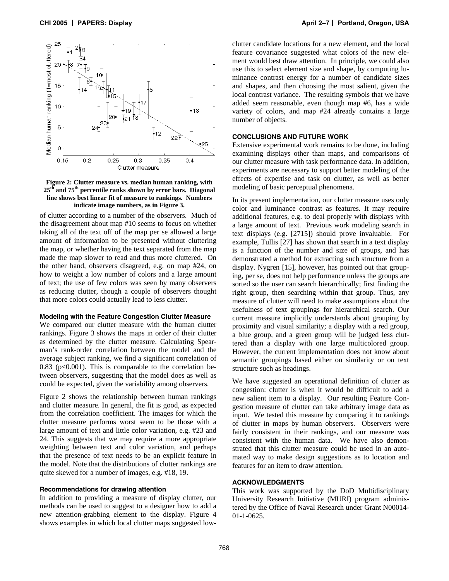



of clutter according to a number of the observers. Much of the disagreement about map #10 seems to focus on whether taking all of the text off of the map per se allowed a large amount of information to be presented without cluttering the map, or whether having the text separated from the map made the map slower to read and thus more cluttered. On the other hand, observers disagreed, e.g. on map #24, on how to weight a low number of colors and a large amount of text; the use of few colors was seen by many observers as reducing clutter, though a couple of observers thought that more colors could actually lead to less clutter.

#### **Modeling with the Feature Congestion Clutter Measure**

We compared our clutter measure with the human clutter rankings. Figure 3 shows the maps in order of their clutter as determined by the clutter measure. Calculating Spearman's rank-order correlation between the model and the average subject ranking, we find a significant correlation of 0.83 ( $p<0.001$ ). This is comparable to the correlation between observers, suggesting that the model does as well as could be expected, given the variability among observers.

Figure 2 shows the relationship between human rankings and clutter measure. In general, the fit is good, as expected from the correlation coefficient. The images for which the clutter measure performs worst seem to be those with a large amount of text and little color variation, e.g. #23 and 24. This suggests that we may require a more appropriate weighting between text and color variation, and perhaps that the presence of text needs to be an explicit feature in the model. Note that the distributions of clutter rankings are quite skewed for a number of images, e.g. #18, 19.

#### **Recommendations for drawing attention**

In addition to providing a measure of display clutter, our methods can be used to suggest to a designer how to add a new attention-grabbing element to the display. Figure 4 shows examples in which local clutter maps suggested lowclutter candidate locations for a new element, and the local feature covariance suggested what colors of the new element would best draw attention. In principle, we could also use this to select element size and shape, by computing luminance contrast energy for a number of candidate sizes and shapes, and then choosing the most salient, given the local contrast variance. The resulting symbols that we have added seem reasonable, even though map #6, has a wide variety of colors, and map #24 already contains a large number of objects.

#### **CONCLUSIONS AND FUTURE WORK**

Extensive experimental work remains to be done, including examining displays other than maps, and comparisons of our clutter measure with task performance data. In addition, experiments are necessary to support better modeling of the effects of expertise and task on clutter, as well as better modeling of basic perceptual phenomena.

In its present implementation, our clutter measure uses only color and luminance contrast as features. It may require additional features, e.g. to deal properly with displays with a large amount of text. Previous work modeling search in text displays (e.g. [2715]) should prove invaluable. For example, Tullis [27] has shown that search in a text display is a function of the number and size of groups, and has demonstrated a method for extracting such structure from a display. Nygren [15], however, has pointed out that grouping, per se, does not help performance unless the groups are sorted so the user can search hierarchically; first finding the right group, then searching within that group. Thus, any measure of clutter will need to make assumptions about the usefulness of text groupings for hierarchical search. Our current measure implicitly understands about grouping by proximity and visual similarity; a display with a red group, a blue group, and a green group will be judged less cluttered than a display with one large multicolored group. However, the current implementation does not know about semantic groupings based either on similarity or on text structure such as headings.

We have suggested an operational definition of clutter as congestion: clutter is when it would be difficult to add a new salient item to a display. Our resulting Feature Congestion measure of clutter can take arbitrary image data as input. We tested this measure by comparing it to rankings of clutter in maps by human observers. Observers were fairly consistent in their rankings, and our measure was consistent with the human data. We have also demonstrated that this clutter measure could be used in an automated way to make design suggestions as to location and features for an item to draw attention.

#### **ACKNOWLEDGMENTS**

This work was supported by the DoD Multidisciplinary University Research Initiative (MURI) program administered by the Office of Naval Research under Grant N00014- 01-1-0625.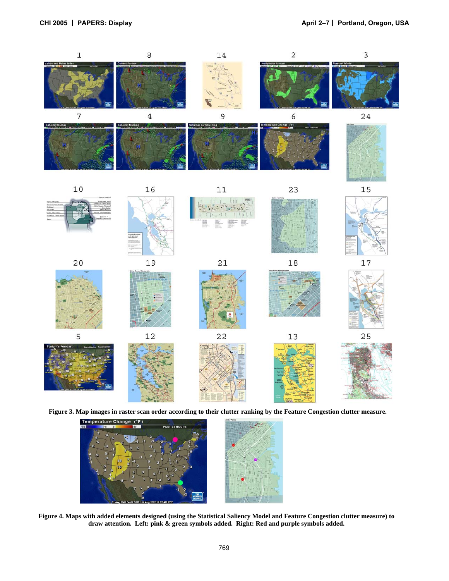

**Figure 3. Map images in raster scan order according to their clutter ranking by the Feature Congestion clutter measure.** 



**Figure 4. Maps with added elements designed (using the Statistical Saliency Model and Feature Congestion clutter measure) to draw attention. Left: pink & green symbols added. Right: Red and purple symbols added.**